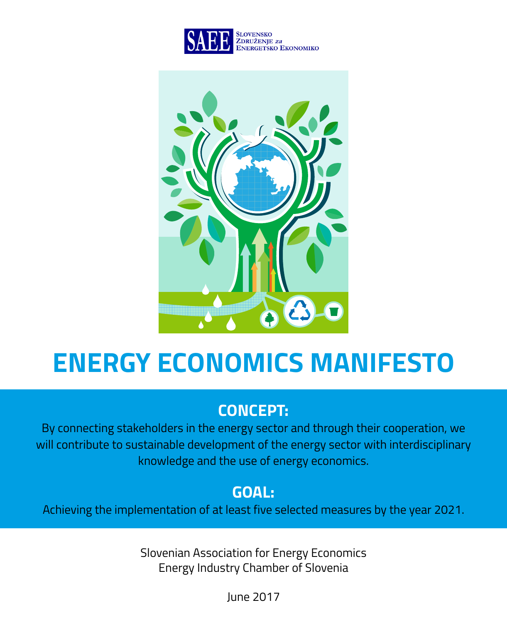



# **ENERGY ECONOMICS MANIFESTO**

# **CONCEPT:**

By connecting stakeholders in the energy sector and through their cooperation, we will contribute to sustainable development of the energy sector with interdisciplinary knowledge and the use of energy economics.

# **GOAL:**

Achieving the implementation of at least five selected measures by the year 2021.

Slovenian Association for Energy Economics Energy Industry Chamber of Slovenia

June 2017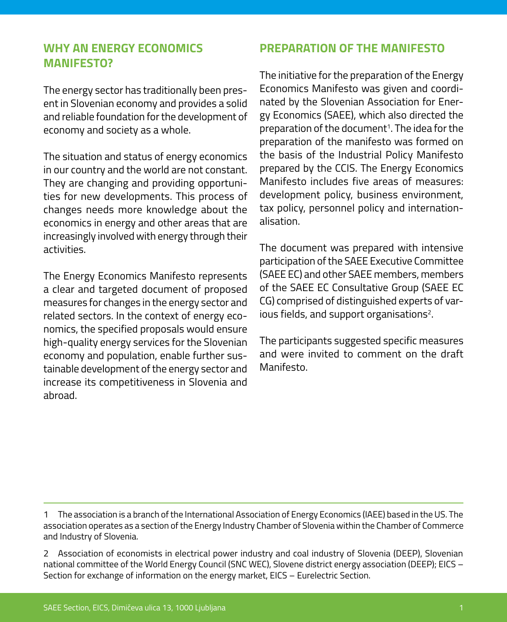#### **WHY AN ENERGY ECONOMICS MANIFESTO?**

The energy sector has traditionally been present in Slovenian economy and provides a solid and reliable foundation for the development of economy and society as a whole.

The situation and status of energy economics in our country and the world are not constant. They are changing and providing opportunities for new developments. This process of changes needs more knowledge about the economics in energy and other areas that are increasingly involved with energy through their activities.

The Energy Economics Manifesto represents a clear and targeted document of proposed measures for changes in the energy sector and related sectors. In the context of energy economics, the specified proposals would ensure high-quality energy services for the Slovenian economy and population, enable further sustainable development of the energy sector and increase its competitiveness in Slovenia and abroad.

#### **PREPARATION OF THE MANIFESTO**

The initiative for the preparation of the Energy Economics Manifesto was given and coordinated by the Slovenian Association for Energy Economics (SAEE), which also directed the preparation of the document<sup>1</sup>. The idea for the preparation of the manifesto was formed on the basis of the Industrial Policy Manifesto prepared by the CCIS. The Energy Economics Manifesto includes five areas of measures: development policy, business environment, tax policy, personnel policy and internationalisation.

The document was prepared with intensive participation of the SAEE Executive Committee (SAEE EC) and other SAEE members, members of the SAEE EC Consultative Group (SAEE EC CG) comprised of distinguished experts of various fields, and support organisations<sup>2</sup>.

The participants suggested specific measures and were invited to comment on the draft Manifesto.

1 The association is a branch of the International Association of Energy Economics (IAEE) based in the US. The association operates as a section of the Energy Industry Chamber of Slovenia within the Chamber of Commerce and Industry of Slovenia.

2 Association of economists in electrical power industry and coal industry of Slovenia (DEEP), Slovenian national committee of the World Energy Council (SNC WEC), Slovene district energy association (DEEP); EICS – Section for exchange of information on the energy market, EICS – Eurelectric Section.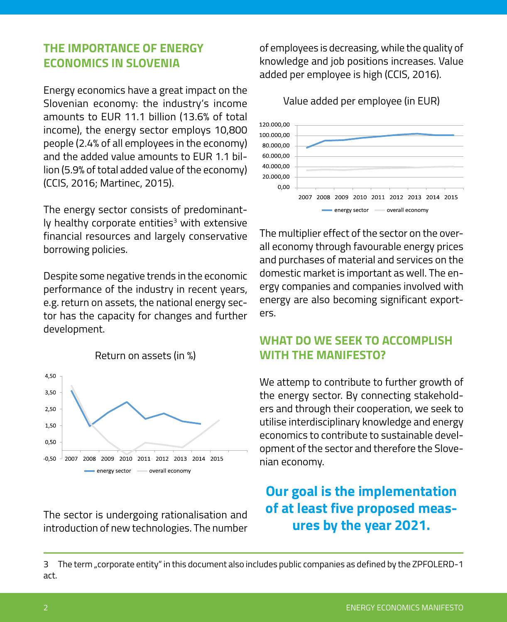#### **THE IMPORTANCE OF ENERGY ECONOMICS IN SLOVENIA**

Energy economics have a great impact on the Slovenian economy: the industry's income amounts to EUR 11.1 billion (13.6% of total income), the energy sector employs 10,800 people (2.4% of all employees in the economy) and the added value amounts to EUR 1.1 billion (5.9% of total added value of the economy) (CCIS, 2016; Martinec, 2015).

The energy sector consists of predominantly healthy corporate entities<sup>3</sup> with extensive financial resources and largely conservative borrowing policies.

Despite some negative trends in the economic performance of the industry in recent years, e.g. return on assets, the national energy sector has the capacity for changes and further development.



The sector is undergoing rationalisation and introduction of new technologies. The number of employees is decreasing, while the quality of knowledge and job positions increases. Value added per employee is high (CCIS, 2016).

Value added per employee (in EUR)



The multiplier effect of the sector on the overall economy through favourable energy prices and purchases of material and services on the domestic market is important as well. The energy companies and companies involved with energy are also becoming significant exporters.

### **WHAT DO WE SEEK TO ACCOMPLISH WITH THE MANIFESTO?**

We attemp to contribute to further growth of the energy sector. By connecting stakeholders and through their cooperation, we seek to utilise interdisciplinary knowledge and energy economics to contribute to sustainable development of the sector and therefore the Slovenian economy.

# **Our goal is the implementation of at least five proposed measures by the year 2021.**

<sup>3</sup> The term "corporate entity" in this document also includes public companies as defined by the ZPFOLERD-1 act.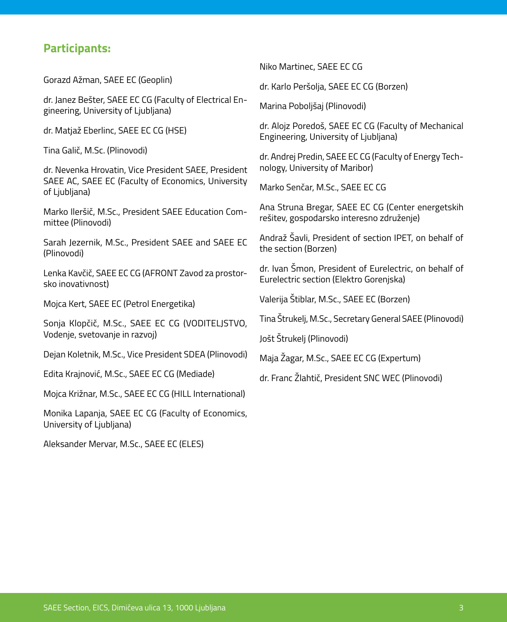#### **Participants:**

Gorazd Ažman, SAEE EC (Geoplin)

dr. Janez Bešter, SAEE EC CG (Faculty of Electrical Engineering, University of Ljubljana)

dr. Matjaž Eberlinc, SAEE EC CG (HSE)

Tina Galič, M.Sc. (Plinovodi)

dr. Nevenka Hrovatin, Vice President SAEE, President SAEE AC, SAEE EC (Faculty of Economics, University of Ljubljana)

Marko Ileršič, M.Sc., President SAEE Education Committee (Plinovodi)

Sarah Jezernik, M.Sc., President SAEE and SAEE EC (Plinovodi)

Lenka Kavčič, SAEE EC CG (AFRONT Zavod za prostorsko inovativnost)

Mojca Kert, SAEE EC (Petrol Energetika)

Sonja Klopčič, M.Sc., SAEE EC CG (VODITELJSTVO, Vodenje, svetovanje in razvoj)

Dejan Koletnik, M.Sc., Vice President SDEA (Plinovodi)

Edita Krajnović, M.Sc., SAEE EC CG (Mediade)

Mojca Križnar, M.Sc., SAEE EC CG (HILL International)

Monika Lapanja, SAEE EC CG (Faculty of Economics, University of Ljubljana)

Aleksander Mervar, M.Sc., SAEE EC (ELES)

Niko Martinec, SAEE EC CG

dr. Karlo Peršolja, SAEE EC CG (Borzen)

Marina Poboljšaj (Plinovodi)

dr. Alojz Poredoš, SAEE EC CG (Faculty of Mechanical Engineering, University of Ljubljana)

dr. Andrej Predin, SAEE EC CG (Faculty of Energy Technology, University of Maribor)

Marko Senčar, M.Sc., SAEE EC CG

Ana Struna Bregar, SAEE EC CG (Center energetskih rešitev, gospodarsko interesno združenje)

Andraž Šavli, President of section IPET, on behalf of the section (Borzen)

dr. Ivan Šmon, President of Eurelectric, on behalf of Eurelectric section (Elektro Gorenjska)

Valerija Štiblar, M.Sc., SAEE EC (Borzen)

Tina Štrukelj, M.Sc., Secretary General SAEE (Plinovodi)

Jošt Štrukelj (Plinovodi)

Maja Žagar, M.Sc., SAEE EC CG (Expertum)

dr. Franc Žlahtič, President SNC WEC (Plinovodi)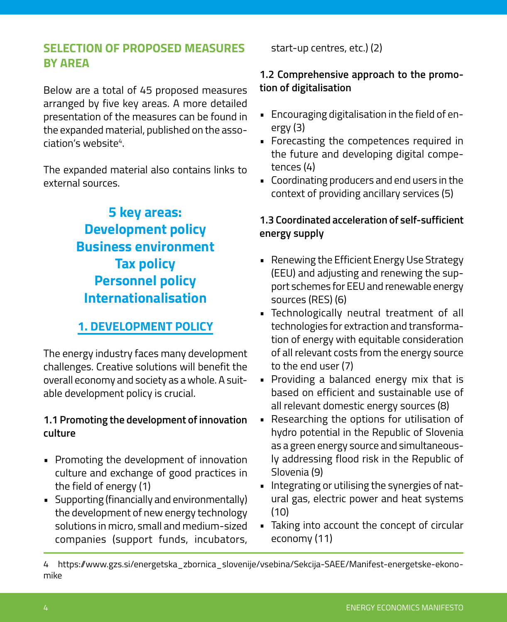## **SELECTION OF PROPOSED MEASURES BY AREA**

Below are a total of 45 proposed measures arranged by five key areas. A more detailed presentation of the measures can be found in the expanded material, published on the association's website<sup>4</sup>.

The expanded material also contains links to external sources.

> **5 key areas: Development policy Business environment Tax policy Personnel policy Internationalisation**

# **1. DEVELOPMENT POLICY**

The energy industry faces many development challenges. Creative solutions will benefit the overall economy and society as a whole. A suitable development policy is crucial.

#### **1.1 Promoting the development of innovation culture**

- Promoting the development of innovation culture and exchange of good practices in the field of energy (1)
- Supporting (financially and environmentally) the development of new energy technology solutions in micro, small and medium-sized companies (support funds, incubators,

start-up centres, etc.) (2)

#### **1.2 Comprehensive approach to the promotion of digitalisation**

- Encouraging digitalisation in the field of energy (3)
- Forecasting the competences required in the future and developing digital competences (4)
- Coordinating producers and end users in the context of providing ancillary services (5)

#### **1.3 Coordinated acceleration of self-sufficient energy supply**

- Renewing the Efficient Energy Use Strategy (EEU) and adjusting and renewing the support schemes for EEU and renewable energy sources (RES) (6)
- Technologically neutral treatment of all technologies for extraction and transformation of energy with equitable consideration of all relevant costs from the energy source to the end user (7)
- Providing a balanced energy mix that is based on efficient and sustainable use of all relevant domestic energy sources (8)
- Researching the options for utilisation of hydro potential in the Republic of Slovenia as a green energy source and simultaneously addressing flood risk in the Republic of Slovenia (9)
- Integrating or utilising the synergies of natural gas, electric power and heat systems (10)
- Taking into account the concept of circular economy (11)

<sup>4</sup> [https://www.gzs.si/energetska\\_zbornica\\_slovenije/vsebina/Sekcija-SAEE/Manifest-energetske-ekono](https://www.gzs.si/energetska_zbornica_slovenije/vsebina/Sekcija-SAEE/Manifest-energetske-ekonom)[m](https://www.gzs.si/energetska_zbornica_slovenije/vsebina/Sekcija-SAEE/Manifest-energetske-ekonom)ike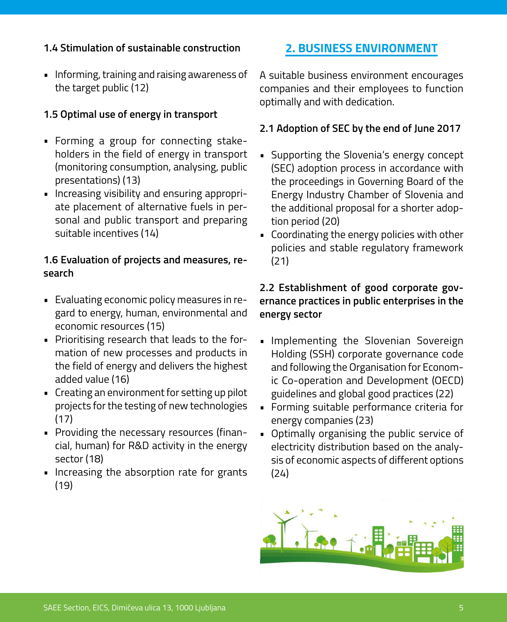#### **1.4 Stimulation of sustainable construction**

• Informing, training and raising awareness of the target public (12)

#### **1.5 Optimal use of energy in transport**

- Forming a group for connecting stakeholders in the field of energy in transport (monitoring consumption, analysing, public presentations) (13)
- Increasing visibility and ensuring appropriate placement of alternative fuels in personal and public transport and preparing suitable incentives (14)

#### **1.6 Evaluation of projects and measures, research**

- Evaluating economic policy measures in regard to energy, human, environmental and economic resources (15)
- Prioritising research that leads to the formation of new processes and products in the field of energy and delivers the highest added value (16)
- Creating an environment for setting up pilot projects for the testing of new technologies (17)
- Providing the necessary resources (financial, human) for R&D activity in the energy sector (18)
- Increasing the absorption rate for grants (19)

## **2. BUSINESS ENVIRONMENT**

A suitable business environment encourages companies and their employees to function optimally and with dedication.

#### **2.1 Adoption of SEC by the end of June 2017**

- Supporting the Slovenia's energy concept (SEC) adoption process in accordance with the proceedings in Governing Board of the Energy Industry Chamber of Slovenia and the additional proposal for a shorter adoption period (20)
- Coordinating the energy policies with other policies and stable regulatory framework (21)

#### **2.2 Establishment of good corporate governance practices in public enterprises in the energy sector**

- Implementing the Slovenian Sovereign Holding (SSH) corporate governance code and following the Organisation for Economic Co-operation and Development (OECD) guidelines and global good practices (22)
- Forming suitable performance criteria for energy companies (23)
- Optimally organising the public service of electricity distribution based on the analysis of economic aspects of different options (24)

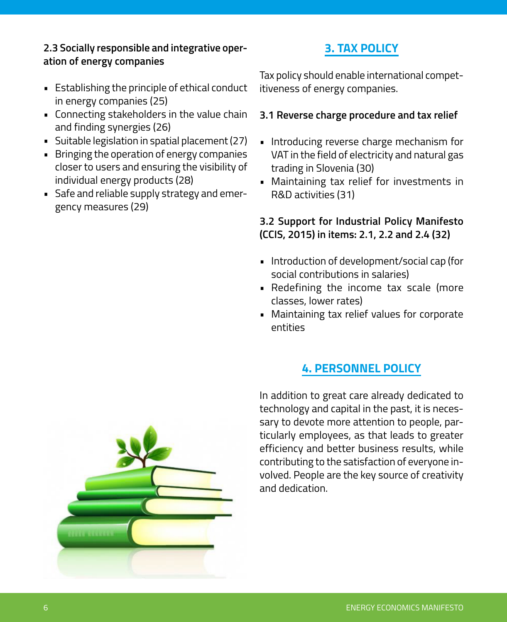#### **2.3 Socially responsible and integrative operation of energy companies**

- Establishing the principle of ethical conduct in energy companies (25)
- Connecting stakeholders in the value chain and finding synergies (26)
- Suitable legislation in spatial placement (27)
- Bringing the operation of energy companies closer to users and ensuring the visibility of individual energy products (28)
- Safe and reliable supply strategy and emergency measures (29)

# **3. TAX POLICY**

Tax policy should enable international competitiveness of energy companies.

#### **3.1 Reverse charge procedure and tax relief**

- Introducing reverse charge mechanism for VAT in the field of electricity and natural gas trading in Slovenia (30)
- Maintaining tax relief for investments in R&D activities (31)

#### **3.2 Support for Industrial Policy Manifesto (CCIS, 2015) in items: 2.1, 2.2 and 2.4 (32)**

- Introduction of development/social cap (for social contributions in salaries)
- Redefining the income tax scale (more classes, lower rates)
- Maintaining tax relief values for corporate entities

# **4. PERSONNEL POLICY**

In addition to great care already dedicated to technology and capital in the past, it is necessary to devote more attention to people, particularly employees, as that leads to greater efficiency and better business results, while contributing to the satisfaction of everyone involved. People are the key source of creativity and dedication.

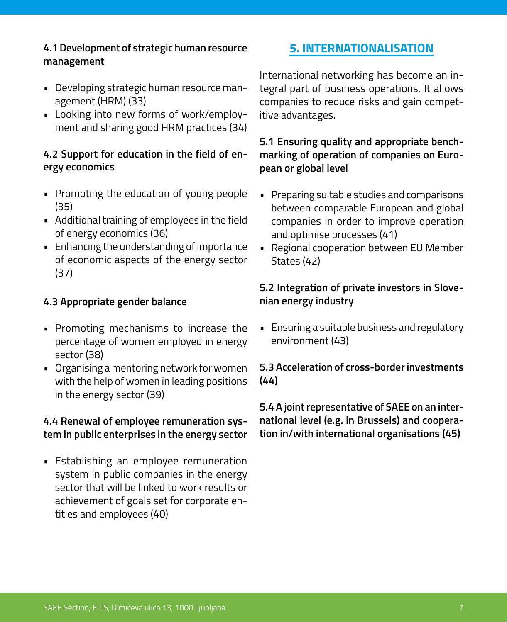#### **4.1 Development of strategic human resource management**

- Developing strategic human resource management (HRM) (33)
- Looking into new forms of work/employment and sharing good HRM practices (34)

#### **4.2 Support for education in the field of energy economics**

- Promoting the education of young people (35)
- Additional training of employees in the field of energy economics (36)
- Enhancing the understanding of importance of economic aspects of the energy sector (37)

#### **4.3 Appropriate gender balance**

- Promoting mechanisms to increase the percentage of women employed in energy sector (38)
- Organising a mentoring network for women with the help of women in leading positions in the energy sector (39)

#### **4.4 Renewal of employee remuneration system in public enterprises in the energy sector**

• Establishing an employee remuneration system in public companies in the energy sector that will be linked to work results or achievement of goals set for corporate entities and employees (40)

## **5. INTERNATIONALISATION**

International networking has become an integral part of business operations. It allows companies to reduce risks and gain competitive advantages.

#### **5.1 Ensuring quality and appropriate benchmarking of operation of companies on European or global level**

- Preparing suitable studies and comparisons between comparable European and global companies in order to improve operation and optimise processes (41)
- Regional cooperation between EU Member States (42)

#### **5.2 Integration of private investors in Slovenian energy industry**

• Ensuring a suitable business and regulatory environment (43)

#### **5.3 Acceleration of cross-border investments (44)**

**5.4 A joint representative of SAEE on an international level (e.g. in Brussels) and cooperation in/with international organisations (45)**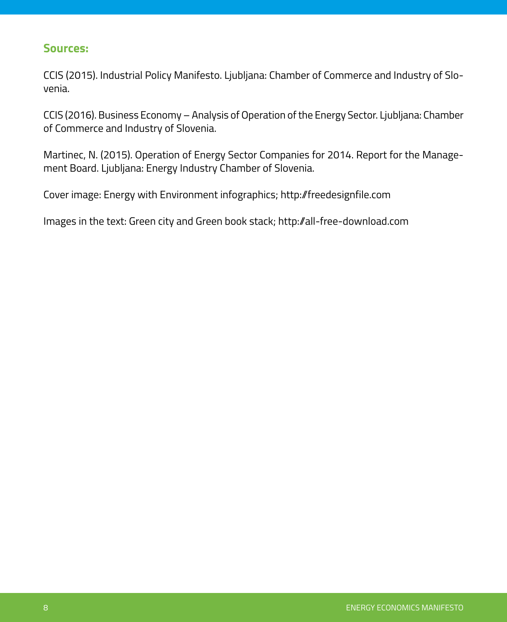#### **Sources:**

CCIS (2015). Industrial Policy Manifesto. Ljubljana: Chamber of Commerce and Industry of Slovenia.

CCIS (2016). Business Economy – Analysis of Operation of the Energy Sector. Ljubljana: Chamber of Commerce and Industry of Slovenia.

Martinec, N. (2015). Operation of Energy Sector Companies for 2014. Report for the Management Board. Ljubljana: Energy Industry Chamber of Slovenia.

Cover image: Energy with Environment infographics; http://freedesignfile.com

Images in the text: Green city and Green book stack; http://all-free-download.com